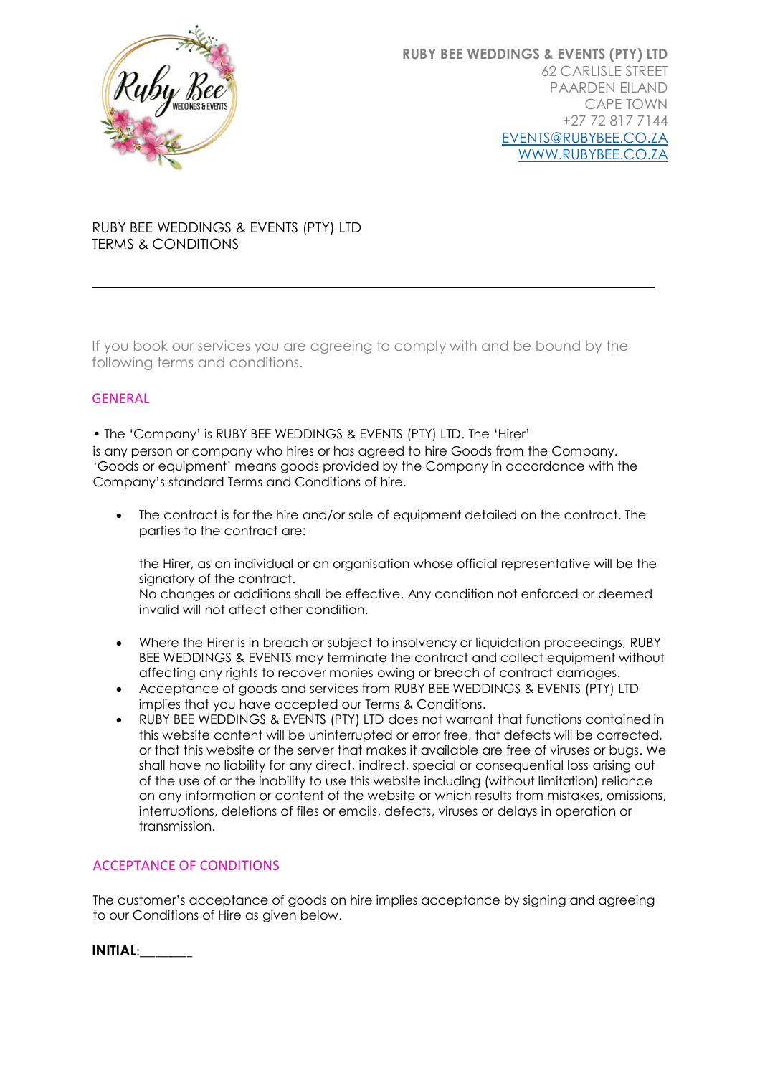

# RUBY BEE WEDDINGS & EVENTS (PTY) LTD TERMS & CONDITIONS

If you book our services you are agreeing to comply with and be bound by the following terms and conditions.

# GENERAL

• The 'Company' is RUBY BEE WEDDINGS & EVENTS (PTY) LTD. The 'Hirer' is any person or company who hires or has agreed to hire Goods from the Company. 'Goods or equipment' means goods provided by the Company in accordance with the Company's standard Terms and Conditions of hire.

• The contract is for the hire and/or sale of equipment detailed on the contract. The parties to the contract are:

the Hirer, as an individual or an organisation whose official representative will be the signatory of the contract.

No changes or additions shall be effective. Any condition not enforced or deemed invalid will not affect other condition.

- Where the Hirer is in breach or subject to insolvency or liquidation proceedings, RUBY BEE WEDDINGS & EVENTS may terminate the contract and collect equipment without affecting any rights to recover monies owing or breach of contract damages.
- Acceptance of goods and services from RUBY BEE WEDDINGS & EVENTS (PTY) LTD implies that you have accepted our Terms & Conditions.
- RUBY BEE WEDDINGS & EVENTS (PTY) LTD does not warrant that functions contained in this website content will be uninterrupted or error free, that defects will be corrected, or that this website or the server that makes it available are free of viruses or bugs. We shall have no liability for any direct, indirect, special or consequential loss arising out of the use of or the inability to use this website including (without limitation) reliance on any information or content of the website or which results from mistakes, omissions, interruptions, deletions of files or emails, defects, viruses or delays in operation or transmission.

# ACCEPTANCE OF CONDITIONS

The customer's acceptance of goods on hire implies acceptance by signing and agreeing to our Conditions of Hire as given below.

**INITIAL**:\_\_\_\_\_\_\_\_\_\_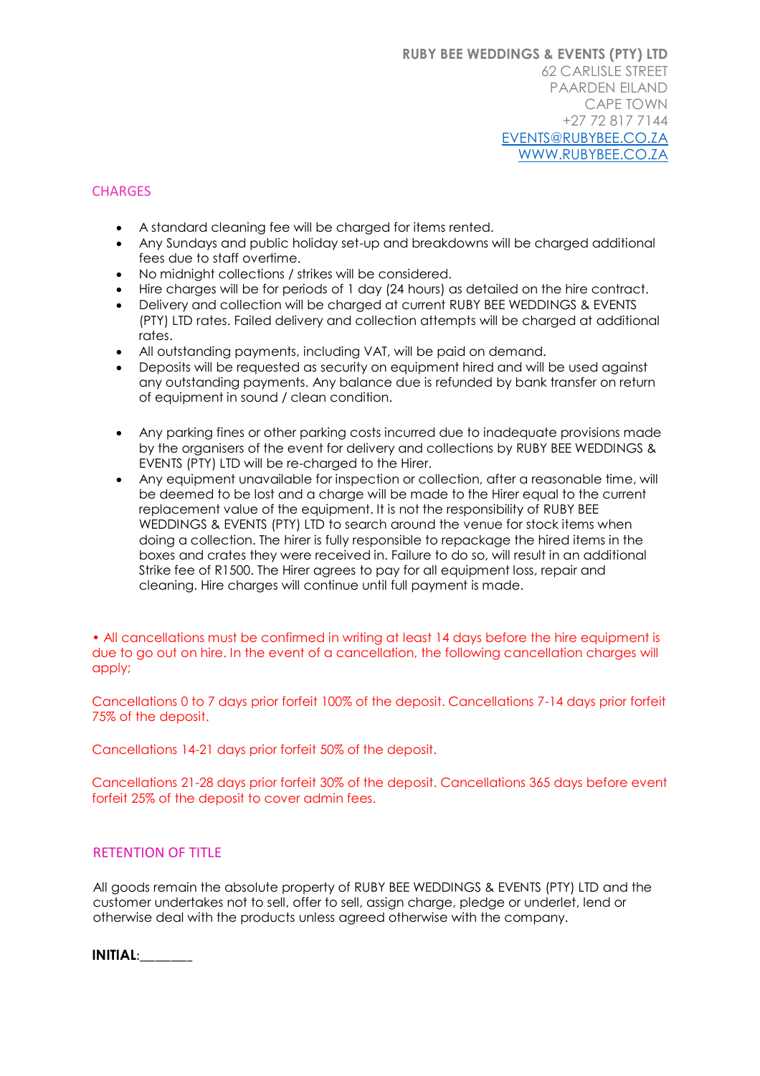## **CHARGES**

- A standard cleaning fee will be charged for items rented.
- Any Sundays and public holiday set-up and breakdowns will be charged additional fees due to staff overtime.
- No midnight collections / strikes will be considered.
- Hire charges will be for periods of 1 day (24 hours) as detailed on the hire contract.
- Delivery and collection will be charged at current RUBY BEE WEDDINGS & EVENTS (PTY) LTD rates. Failed delivery and collection attempts will be charged at additional rates.
- All outstanding payments, including VAT, will be paid on demand.
- Deposits will be requested as security on equipment hired and will be used against any outstanding payments. Any balance due is refunded by bank transfer on return of equipment in sound / clean condition.
- Any parking fines or other parking costs incurred due to inadequate provisions made by the organisers of the event for delivery and collections by RUBY BEE WEDDINGS & EVENTS (PTY) LTD will be re-charged to the Hirer.
- Any equipment unavailable for inspection or collection, after a reasonable time, will be deemed to be lost and a charge will be made to the Hirer equal to the current replacement value of the equipment. It is not the responsibility of RUBY BEE WEDDINGS & EVENTS (PTY) LTD to search around the venue for stock items when doing a collection. The hirer is fully responsible to repackage the hired items in the boxes and crates they were received in. Failure to do so, will result in an additional Strike fee of R1500. The Hirer agrees to pay for all equipment loss, repair and cleaning. Hire charges will continue until full payment is made.

• All cancellations must be confirmed in writing at least 14 days before the hire equipment is due to go out on hire. In the event of a cancellation, the following cancellation charges will apply;

Cancellations 0 to 7 days prior forfeit 100% of the deposit. Cancellations 7-14 days prior forfeit 75% of the deposit.

Cancellations 14-21 days prior forfeit 50% of the deposit.

Cancellations 21-28 days prior forfeit 30% of the deposit. Cancellations 365 days before event forfeit 25% of the deposit to cover admin fees.

## RETENTION OF TITLE

All goods remain the absolute property of RUBY BEE WEDDINGS & EVENTS (PTY) LTD and the customer undertakes not to sell, offer to sell, assign charge, pledge or underlet, lend or otherwise deal with the products unless agreed otherwise with the company.

| <b>INITIAL:</b> |
|-----------------|
|-----------------|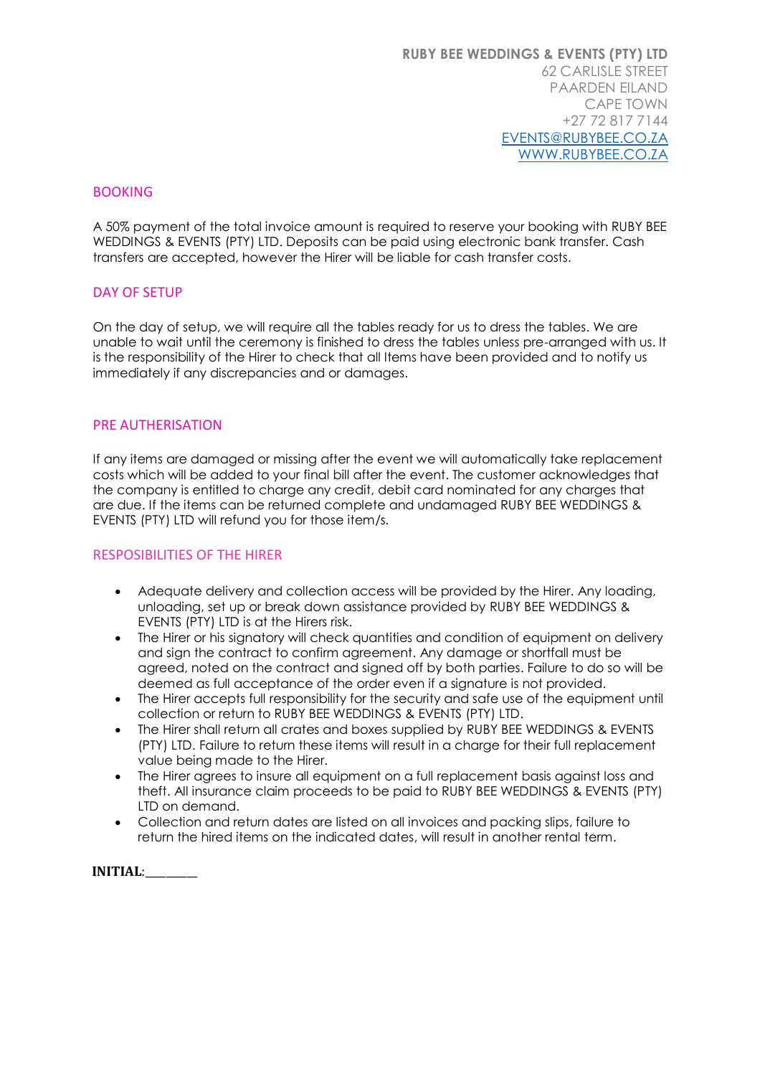## **BOOKING**

A 50% payment of the total invoice amount is required to reserve your booking with RUBY BEE WEDDINGS & EVENTS (PTY) LTD. Deposits can be paid using electronic bank transfer. Cash transfers are accepted, however the Hirer will be liable for cash transfer costs.

#### DAY OF SETUP

On the day of setup, we will require all the tables ready for us to dress the tables. We are unable to wait until the ceremony is finished to dress the tables unless pre-arranged with us. It is the responsibility of the Hirer to check that all Items have been provided and to notify us immediately if any discrepancies and or damages.

#### PRE AUTHERISATION

If any items are damaged or missing after the event we will automatically take replacement costs which will be added to your final bill after the event. The customer acknowledges that the company is entitled to charge any credit, debit card nominated for any charges that are due. If the items can be returned complete and undamaged RUBY BEE WEDDINGS & EVENTS (PTY) LTD will refund you for those item/s.

#### RESPOSIBILITIES OF THE HIRER

- Adequate delivery and collection access will be provided by the Hirer. Any loading, unloading, set up or break down assistance provided by RUBY BEE WEDDINGS & EVENTS (PTY) LTD is at the Hirers risk.
- The Hirer or his signatory will check quantities and condition of equipment on delivery and sign the contract to confirm agreement. Any damage or shortfall must be agreed, noted on the contract and signed off by both parties. Failure to do so will be deemed as full acceptance of the order even if a signature is not provided.
- The Hirer accepts full responsibility for the security and safe use of the equipment until collection or return to RUBY BEE WEDDINGS & EVENTS (PTY) LTD.
- The Hirer shall return all crates and boxes supplied by RUBY BEE WEDDINGS & EVENTS (PTY) LTD. Failure to return these items will result in a charge for their full replacement value being made to the Hirer.
- The Hirer agrees to insure all equipment on a full replacement basis against loss and theft. All insurance claim proceeds to be paid to RUBY BEE WEDDINGS & EVENTS (PTY) LTD on demand.
- Collection and return dates are listed on all invoices and packing slips, failure to return the hired items on the indicated dates, will result in another rental term.

**INITIAL**:\_\_\_\_\_\_\_\_\_\_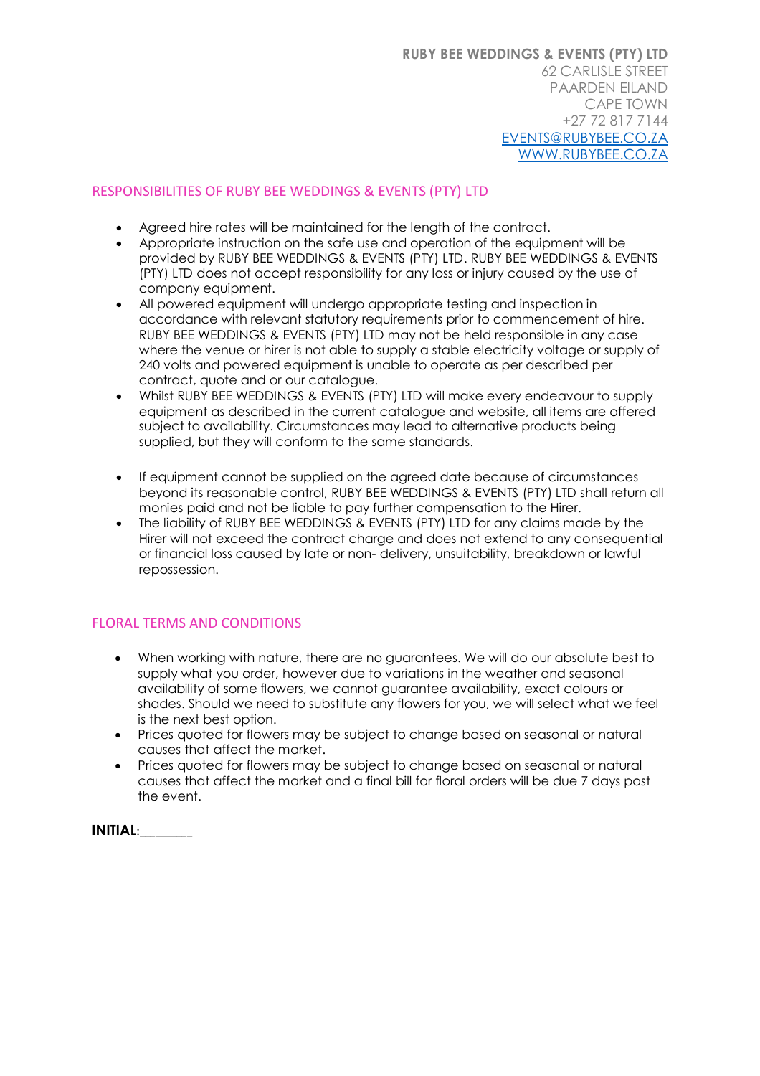## RESPONSIBILITIES OF RUBY BEE WEDDINGS & EVENTS (PTY) LTD

- Agreed hire rates will be maintained for the length of the contract.
- Appropriate instruction on the safe use and operation of the equipment will be provided by RUBY BEE WEDDINGS & EVENTS (PTY) LTD. RUBY BEE WEDDINGS & EVENTS (PTY) LTD does not accept responsibility for any loss or injury caused by the use of company equipment.
- All powered equipment will undergo appropriate testing and inspection in accordance with relevant statutory requirements prior to commencement of hire. RUBY BEE WEDDINGS & EVENTS (PTY) LTD may not be held responsible in any case where the venue or hirer is not able to supply a stable electricity voltage or supply of 240 volts and powered equipment is unable to operate as per described per contract, quote and or our catalogue.
- Whilst RUBY BEE WEDDINGS & EVENTS (PTY) LTD will make every endeavour to supply equipment as described in the current catalogue and website, all items are offered subject to availability. Circumstances may lead to alternative products being supplied, but they will conform to the same standards.
- If equipment cannot be supplied on the agreed date because of circumstances beyond its reasonable control, RUBY BEE WEDDINGS & EVENTS (PTY) LTD shall return all monies paid and not be liable to pay further compensation to the Hirer.
- The liability of RUBY BEE WEDDINGS & EVENTS (PTY) LTD for any claims made by the Hirer will not exceed the contract charge and does not extend to any consequential or financial loss caused by late or non- delivery, unsuitability, breakdown or lawful repossession.

# FLORAL TERMS AND CONDITIONS

- When working with nature, there are no guarantees. We will do our absolute best to supply what you order, however due to variations in the weather and seasonal availability of some flowers, we cannot guarantee availability, exact colours or shades. Should we need to substitute any flowers for you, we will select what we feel is the next best option.
- Prices quoted for flowers may be subject to change based on seasonal or natural causes that affect the market.
- Prices quoted for flowers may be subject to change based on seasonal or natural causes that affect the market and a final bill for floral orders will be due 7 days post the event.

**INITIAL**:\_\_\_\_\_\_\_\_\_\_